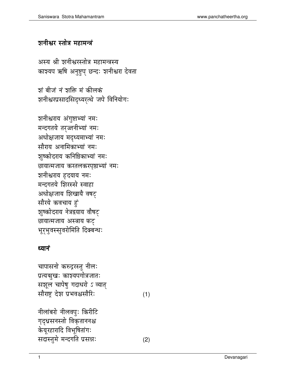## शनीश्वर स्तोत्र महामन्त्रं

अस्य श्री शनीश्वरस्तोत्र महामन्त्रस्य काश्यप ऋषि अनुष्टुप् छन्दः शनीश्वरा देवता

शं बीजं नं शक्ति मं कीलकं शनीश्वरप्रसादसिद्ध्यरत्थे जपे विनियोगः

शनीश्वराय अंगुष्टाभ्यां नमः मन्दगतये तर्ज्जनीभ्यां नमः अधोक्षजाय मद्ध्यमाभ्यां नमः सौराय अनामिकाभ्यां नमः शुष्कोदराय कनिष्ठिकाभ्यां नमः छायात्मजाय करतलकरपृष्ठाभ्यां नमः शनीश्वराय हृदयाय नमः मन्दगतये शिरस्से स्वाहा अधोक्षजाय शिखायै वषट् सौरये कवचाय हं शुष्कोदराय नेत्रद्वयाय वौषट् छायात्मजाय अस्त्राय फट् भूरभुवस्सुवरोमिति दिक्बन्धः

## ध्यानं

चापासनो करुद्रस्तु नीलः प्रत्यञ्चुखः काश्यपगोत्रजातः सशूल चापेषु गदाधरो ऽ व्यात् सौराष्ट्र देश प्रभवश्वसौरिः

 $(1)$ 

नीलांबरो नीलवपुः किरीटि गृद्धसनस्तो विकृताननश्च केयूरहारादि विभूषितांगः सदास्तुमे मन्दगति प्रसन्नः  $(2)$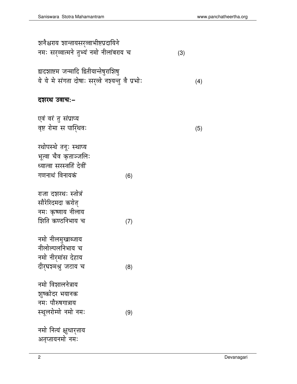| शनैश्चराय शान्तायसर्व्वाभीष्टप्रदायिने<br>नमः सरव्वात्मने तुभ्यं नमो नीलांबराय च            |     | (3) |  |
|---------------------------------------------------------------------------------------------|-----|-----|--|
| द्वादशाष्टम जन्मादि द्वितीयान्तेषुराशिषु<br>ये ये मे संगता दोषाः सर्व्वे नश्यन्तु वै प्रभोः |     | (4) |  |
| दशरथ उवाच:–                                                                                 |     |     |  |
| एवं वरं तु संप्राप्य<br>वृष्ट रोमा स पारिथवः                                                |     | (5) |  |
| रथोपस्थे तनूः स्थाप्य<br>भूत्वा चैव कृताञ्जलिः<br>ध्यात्वा सरस्वतिं देवीं<br>गणनाथं विनायकं | (6) |     |  |
| राजा दशरथः स्तोत्रं<br>सौरेरिदमदा करोत्<br>नमः कृष्णाय नीलाय<br>शिति कण्ठनिभाय च            | (7) |     |  |
| नमो नीलमुखाब्जाय<br>नीलोल्पलनिभाय च<br>नमो नीरमांस देहाय<br>दीरुघशमश्रु जटाय च              | (8) |     |  |
| नमो विशालनेत्राय<br>शूष्कोदर भयानक<br>नमः पौरुषगात्राय<br>स्थूलरोम्णे नमो नमः               | (9) |     |  |
| नमो नित्यं क्षुधार्त्ताय<br>अतृप्तायनमो नमः                                                 |     |     |  |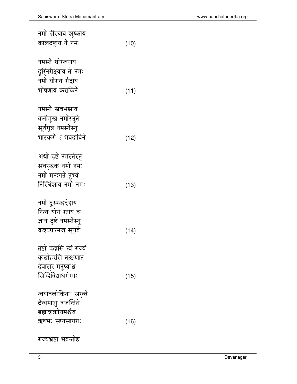| नमो दीर्घाय शुष्काय<br>कालदंष्ट्राय ते नमः                                                                   | (10) |
|--------------------------------------------------------------------------------------------------------------|------|
| नमस्ते घोररूपाय<br>दुर्सिरीक्ष्याय ते नमः<br>नमो घोराय रौद्राय<br>भीषणाय कराळिने                             | (11) |
| नमस्ते स्रवभक्षाय<br>वलीमुख नमोस्तुते<br>सूर्यपुत्र नमस्तेस्तु<br>भास्करो ऽ भयदायिने                         | (12) |
| अधो दृष्टे नमस्तेस्तु<br>संवर्द्धक नमो नमः<br>नमो मन्दगते तुभ्यं<br>निस्त्रिंशाय नमो नमः                     | (13) |
| नमो दुस्सहदेहाय<br>नित्य योग रताय च<br>ज्ञान दृष्टे नमस्तेस्तु<br>कश्यपात्मज सूनवे                           | (14) |
| तुष्टो ददासि त्वं राज्यं<br>कृब्बोहरसि तत्क्षणात्<br>देवासुर मनुष्याश्च<br>सिद्धिविद्याधरोरगः                | (15) |
| त्वयावलोकिताः सर्व्व<br>दैन्यमाशु व्रजन्तिते<br>ब्रह्माशऋोयमश्चैव<br>ऋषभः सप्तसागराः<br>राज्यभ्रष्टा भवन्तीह | (16) |